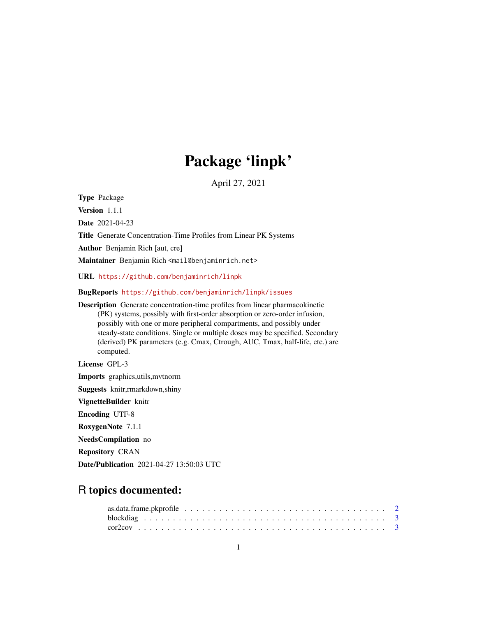# Package 'linpk'

April 27, 2021

<span id="page-0-0"></span>Type Package

Version 1.1.1

Date 2021-04-23

Title Generate Concentration-Time Profiles from Linear PK Systems

Author Benjamin Rich [aut, cre]

Maintainer Benjamin Rich <mail@benjaminrich.net>

URL <https://github.com/benjaminrich/linpk>

BugReports <https://github.com/benjaminrich/linpk/issues>

Description Generate concentration-time profiles from linear pharmacokinetic (PK) systems, possibly with first-order absorption or zero-order infusion, possibly with one or more peripheral compartments, and possibly under steady-state conditions. Single or multiple doses may be specified. Secondary (derived) PK parameters (e.g. Cmax, Ctrough, AUC, Tmax, half-life, etc.) are computed.

License GPL-3

Imports graphics,utils,mvtnorm

Suggests knitr,rmarkdown,shiny

VignetteBuilder knitr

Encoding UTF-8

RoxygenNote 7.1.1

NeedsCompilation no

Repository CRAN

Date/Publication 2021-04-27 13:50:03 UTC

# R topics documented: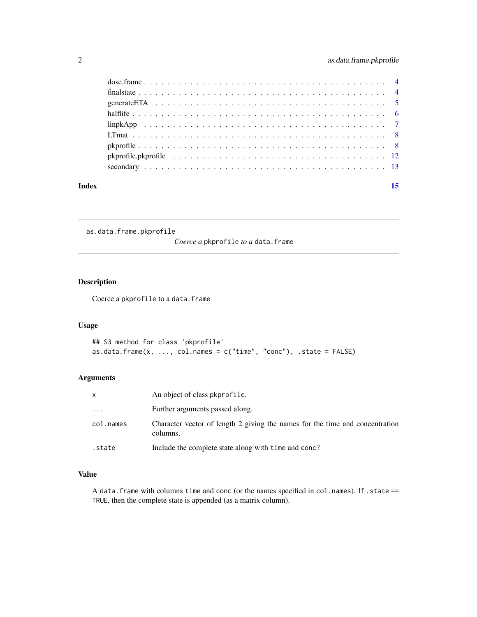<span id="page-1-0"></span>

| Index | 15 |  |
|-------|----|--|
|       |    |  |
|       |    |  |
|       |    |  |
|       |    |  |
|       |    |  |
|       |    |  |
|       |    |  |
|       |    |  |
|       |    |  |

as.data.frame.pkprofile

*Coerce a* pkprofile *to a* data.frame

# Description

Coerce a pkprofile to a data.frame

# Usage

```
## S3 method for class 'pkprofile'
as.data.frame(x, \ldots, \text{col.names} = c("time", "conc"), \text{ state} = FALSE)
```
# Arguments

|           | An object of class pkprofile.                                                            |
|-----------|------------------------------------------------------------------------------------------|
| $\ddots$  | Further arguments passed along.                                                          |
| col.names | Character vector of length 2 giving the names for the time and concentration<br>columns. |
| state.    | Include the complete state along with time and conc?                                     |

# Value

A data.frame with columns time and conc (or the names specified in col.names). If .state == TRUE, then the complete state is appended (as a matrix column).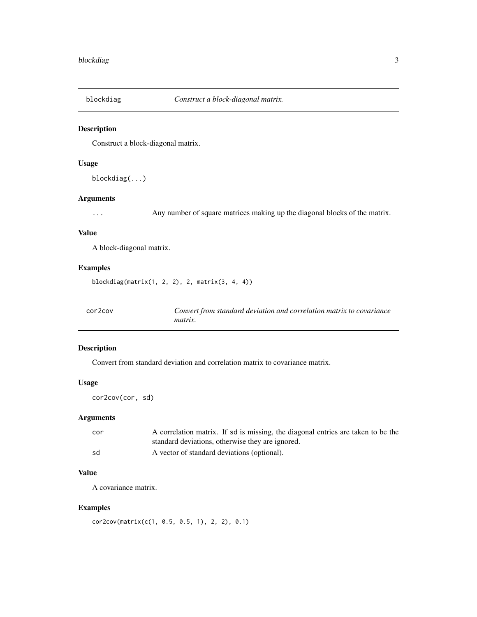<span id="page-2-1"></span><span id="page-2-0"></span>

# Description

Construct a block-diagonal matrix.

# Usage

blockdiag(...)

# Arguments

... Any number of square matrices making up the diagonal blocks of the matrix.

#### Value

A block-diagonal matrix.

# Examples

blockdiag(matrix(1, 2, 2), 2, matrix(3, 4, 4))

cor2cov *Convert from standard deviation and correlation matrix to covariance matrix.*

# Description

Convert from standard deviation and correlation matrix to covariance matrix.

# Usage

cor2cov(cor, sd)

# Arguments

| cor | A correlation matrix. If sd is missing, the diagonal entries are taken to be the |
|-----|----------------------------------------------------------------------------------|
|     | standard deviations, otherwise they are ignored.                                 |
| sd  | A vector of standard deviations (optional).                                      |

# Value

A covariance matrix.

# Examples

cor2cov(matrix(c(1, 0.5, 0.5, 1), 2, 2), 0.1)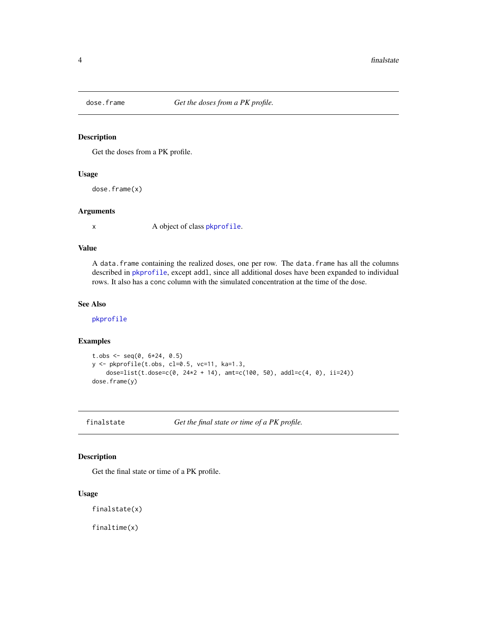<span id="page-3-0"></span>

# Description

Get the doses from a PK profile.

#### Usage

dose.frame(x)

#### Arguments

x A object of class [pkprofile](#page-7-1).

# Value

A data.frame containing the realized doses, one per row. The data.frame has all the columns described in [pkprofile](#page-7-1), except addl, since all additional doses have been expanded to individual rows. It also has a conc column with the simulated concentration at the time of the dose.

# See Also

[pkprofile](#page-7-1)

#### Examples

```
t.obs <- seq(0, 6*24, 0.5)y <- pkprofile(t.obs, cl=0.5, vc=11, ka=1.3,
    dose=list(t.dose=c(0, 24*2 + 14), amt=c(100, 50), addl=c(4, 0), ii=24))
dose.frame(y)
```
finalstate *Get the final state or time of a PK profile.*

# Description

Get the final state or time of a PK profile.

# Usage

finalstate(x)

finaltime(x)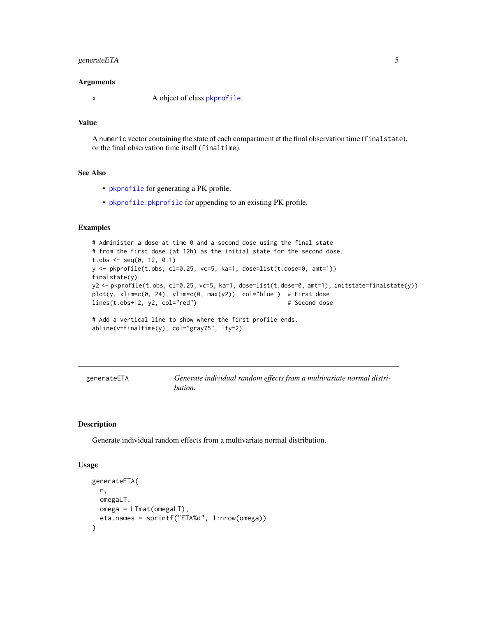# <span id="page-4-0"></span>generateETA 5

#### **Arguments**

x A object of class [pkprofile](#page-7-1).

# Value

A numeric vector containing the state of each compartment at the final observation time (finalstate), or the final observation time itself (finaltime).

#### See Also

- [pkprofile](#page-7-1) for generating a PK profile.
- [pkprofile.pkprofile](#page-11-1) for appending to an existing PK profile.

# Examples

```
# Administer a dose at time 0 and a second dose using the final state
# from the first dose (at 12h) as the initial state for the second dose.
t.obs <- seq(0, 12, 0.1)y <- pkprofile(t.obs, cl=0.25, vc=5, ka=1, dose=list(t.dose=0, amt=1))
finalstate(y)
y2 <- pkprofile(t.obs, cl=0.25, vc=5, ka=1, dose=list(t.dose=0, amt=1), initstate=finalstate(y))
plot(y, xlim=c(0, 24), ylim=c(0, max(y2)), col="blue") # First doselines(t.obs+12, y2, col="red")  # Second dose
# Add a vertical line to show where the first profile ends.
abline(v=finaltime(y), col="gray75", lty=2)
```

| generateETA | Generate individual random effects from a multivariate normal distri- |
|-------------|-----------------------------------------------------------------------|
|             | bution.                                                               |

# Description

Generate individual random effects from a multivariate normal distribution.

#### Usage

```
generateETA(
 n,
 omegaLT,
 omega = LTmat(omegaLT),
  eta.names = sprintf("ETA%d", 1:nrow(omega))
)
```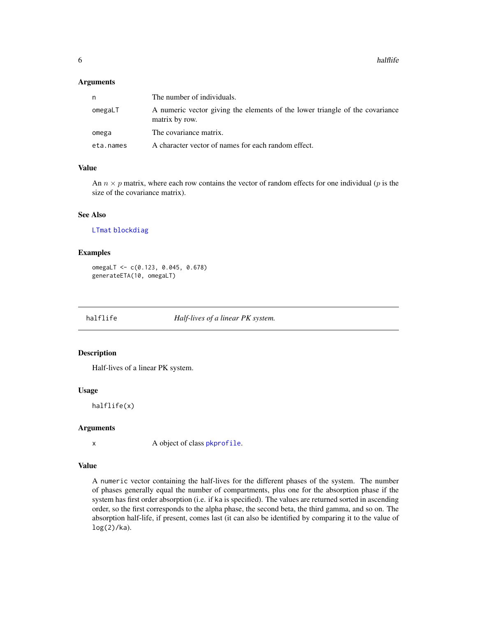#### <span id="page-5-0"></span>Arguments

| n         | The number of individuals.                                                                     |
|-----------|------------------------------------------------------------------------------------------------|
| omegaLT   | A numeric vector giving the elements of the lower triangle of the covariance<br>matrix by row. |
| omega     | The covariance matrix.                                                                         |
| eta.names | A character vector of names for each random effect.                                            |

# Value

An  $n \times p$  matrix, where each row contains the vector of random effects for one individual (p is the size of the covariance matrix).

# See Also

[LTmat](#page-7-2) [blockdiag](#page-2-1)

# Examples

omegaLT <- c(0.123, 0.045, 0.678) generateETA(10, omegaLT)

<span id="page-5-1"></span>halflife *Half-lives of a linear PK system.*

# Description

Half-lives of a linear PK system.

#### Usage

halflife(x)

# Arguments

x A object of class [pkprofile](#page-7-1).

# Value

A numeric vector containing the half-lives for the different phases of the system. The number of phases generally equal the number of compartments, plus one for the absorption phase if the system has first order absorption (i.e. if ka is specified). The values are returned sorted in ascending order, so the first corresponds to the alpha phase, the second beta, the third gamma, and so on. The absorption half-life, if present, comes last (it can also be identified by comparing it to the value of log(2)/ka).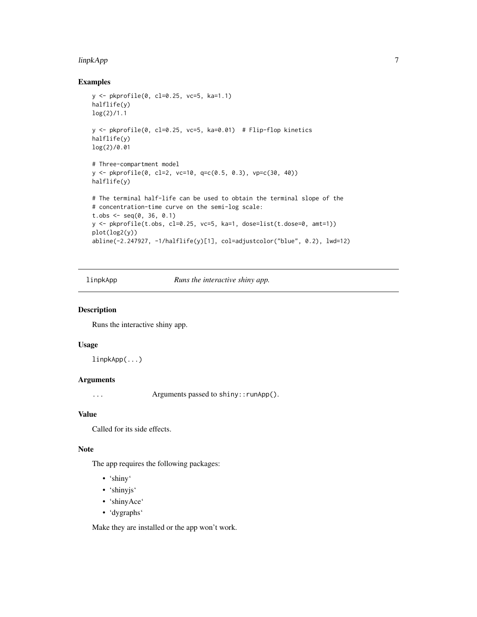#### <span id="page-6-0"></span>linpkApp 7

# Examples

```
y <- pkprofile(0, cl=0.25, vc=5, ka=1.1)
halflife(y)
log(2)/1.1
y <- pkprofile(0, cl=0.25, vc=5, ka=0.01) # Flip-flop kinetics
halflife(y)
log(2)/0.01
# Three-compartment model
y <- pkprofile(0, cl=2, vc=10, q=c(0.5, 0.3), vp=c(30, 40))
halflife(y)
# The terminal half-life can be used to obtain the terminal slope of the
# concentration-time curve on the semi-log scale:
t.obs \leq seq(0, 36, 0.1)
y <- pkprofile(t.obs, cl=0.25, vc=5, ka=1, dose=list(t.dose=0, amt=1))
plot(log2(y))
abline(-2.247927, -1/halflife(y)[1], col=adjustcolor("blue", 0.2), lwd=12)
```
linpkApp *Runs the interactive shiny app.*

#### Description

Runs the interactive shiny app.

### Usage

linpkApp(...)

#### Arguments

... Arguments passed to shiny::runApp().

# Value

Called for its side effects.

# Note

The app requires the following packages:

- 'shiny'
- 'shinyjs'
- 'shinyAce'
- 'dygraphs'

Make they are installed or the app won't work.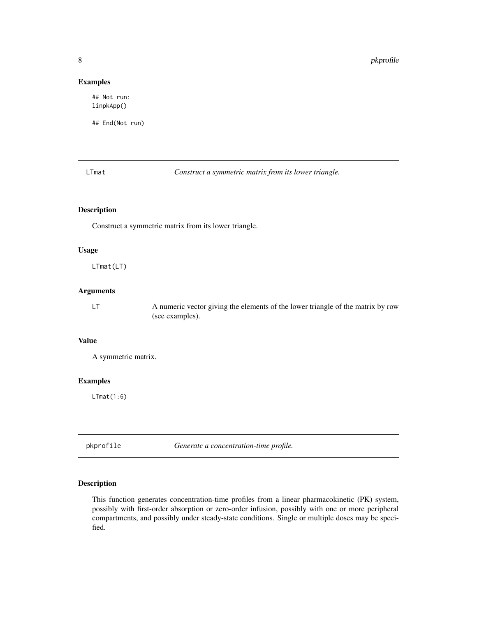# Examples

## Not run: linpkApp()

## End(Not run)

<span id="page-7-2"></span>LTmat *Construct a symmetric matrix from its lower triangle.*

# Description

Construct a symmetric matrix from its lower triangle.

#### Usage

LTmat(LT)

# Arguments

LT A numeric vector giving the elements of the lower triangle of the matrix by row (see examples).

# Value

A symmetric matrix.

# Examples

LTmat(1:6)

<span id="page-7-1"></span>pkprofile *Generate a concentration-time profile.*

# Description

This function generates concentration-time profiles from a linear pharmacokinetic (PK) system, possibly with first-order absorption or zero-order infusion, possibly with one or more peripheral compartments, and possibly under steady-state conditions. Single or multiple doses may be specified.

<span id="page-7-0"></span>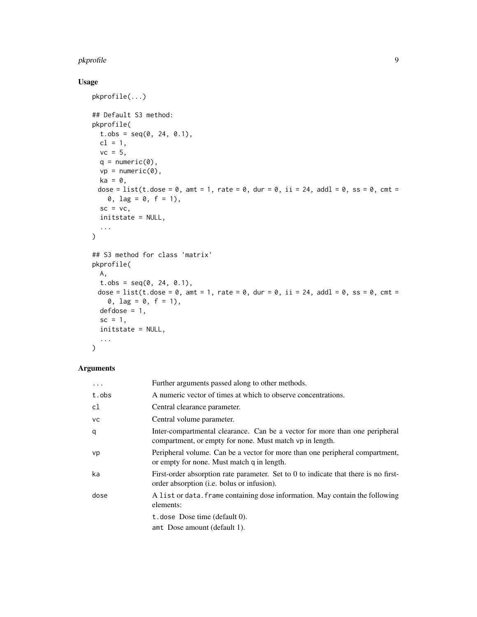#### pkprofile that the set of the set of the set of the set of the set of the set of the set of the set of the set of the set of the set of the set of the set of the set of the set of the set of the set of the set of the set o

# Usage

```
pkprofile(...)
## Default S3 method:
pkprofile(
  t.obs = seq(0, 24, 0.1),cl = 1,vc = 5,
  q = numeric(0),
  vp = numeric(0),
  ka = 0,
 dose = list(t.dose = \theta, amt = 1, rate = \theta, dur = \theta, ii = 24, addl = \theta, ss = \theta, cmt =
    0, \text{ lag} = 0, \text{ f} = 1),sc = vc,initstate = NULL,
  ...
\mathcal{L}## S3 method for class 'matrix'
pkprofile(
  A,
  t.obs = seq(0, 24, 0.1),dose = list(t.dose = \theta, amt = 1, rate = \theta, dur = \theta, ii = 24, addl = \theta, ss = \theta, cmt =
     0, \text{ lag} = 0, \text{ f} = 1),defdose = 1,sc = 1,
  initstate = NULL,
  ...
\mathcal{L}
```
# Arguments

| $\ddotsc$ | Further arguments passed along to other methods.                                                                                          |
|-----------|-------------------------------------------------------------------------------------------------------------------------------------------|
| t.obs     | A numeric vector of times at which to observe concentrations.                                                                             |
| cl        | Central clearance parameter.                                                                                                              |
| <b>VC</b> | Central volume parameter.                                                                                                                 |
| q         | Inter-compartmental clearance. Can be a vector for more than one peripheral<br>compartment, or empty for none. Must match vp in length.   |
| vp        | Peripheral volume. Can be a vector for more than one peripheral compartment,<br>or empty for none. Must match q in length.                |
| ka        | First-order absorption rate parameter. Set to 0 to indicate that there is no first-<br>order absorption ( <i>i.e.</i> bolus or infusion). |
| dose      | A list or data. Frame containing dose information. May contain the following<br>elements:                                                 |
|           | t. dose Dose time (default $0$ ).<br>amt Dose amount (default 1).                                                                         |
|           |                                                                                                                                           |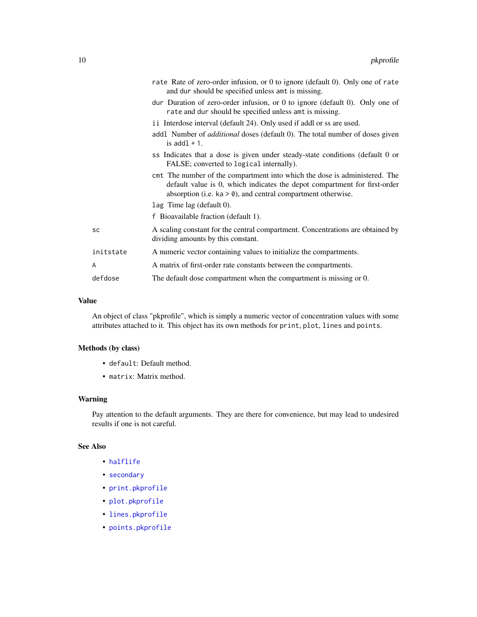<span id="page-9-0"></span>

|           | rate Rate of zero-order infusion, or 0 to ignore (default 0). Only one of rate<br>and dur should be specified unless amt is missing.                                                                                       |
|-----------|----------------------------------------------------------------------------------------------------------------------------------------------------------------------------------------------------------------------------|
|           | dur Duration of zero-order infusion, or 0 to ignore (default 0). Only one of<br>rate and dur should be specified unless amt is missing.                                                                                    |
|           | i i Interdose interval (default 24). Only used if addl or ss are used.                                                                                                                                                     |
|           | addl Number of <i>additional</i> doses (default 0). The total number of doses given<br>is $add1 + 1$ .                                                                                                                     |
|           | ss Indicates that a dose is given under steady-state conditions (default 0 or<br>FALSE; converted to logical internally).                                                                                                  |
|           | cm tThe number of the compartment into which the dose is administered. The<br>default value is 0, which indicates the depot compartment for first-order<br>absorption (i.e. $ka > 0$ ), and central compartment otherwise. |
|           | $\text{lag}$ Time lag (default 0).                                                                                                                                                                                         |
|           | f Bioavailable fraction (default 1).                                                                                                                                                                                       |
| SC        | A scaling constant for the central compartment. Concentrations are obtained by<br>dividing amounts by this constant.                                                                                                       |
| initstate | A numeric vector containing values to initialize the compartments.                                                                                                                                                         |
| A         | A matrix of first-order rate constants between the compartments.                                                                                                                                                           |
| defdose   | The default dose compartment when the compartment is missing or 0.                                                                                                                                                         |
|           |                                                                                                                                                                                                                            |

# Value

An object of class "pkprofile", which is simply a numeric vector of concentration values with some attributes attached to it. This object has its own methods for print, plot, lines and points.

# Methods (by class)

- default: Default method.
- matrix: Matrix method.

#### Warning

Pay attention to the default arguments. They are there for convenience, but may lead to undesired results if one is not careful.

# See Also

- [halflife](#page-5-1)
- [secondary](#page-12-1)
- [print.pkprofile](#page-0-0)
- [plot.pkprofile](#page-0-0)
- [lines.pkprofile](#page-0-0)
- [points.pkprofile](#page-0-0)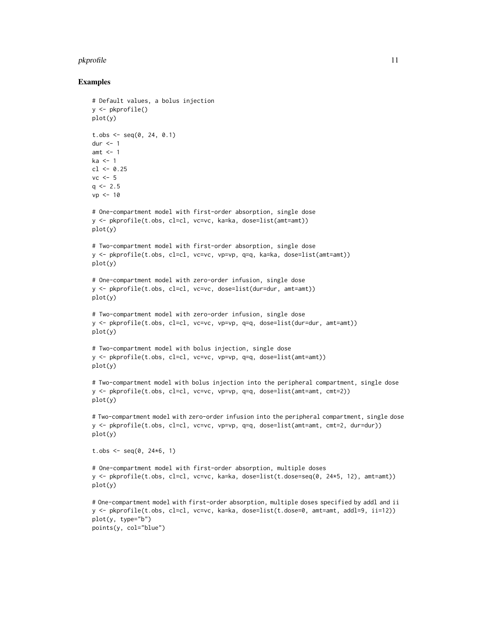#### pkprofile that the state of the state of the state of the state of the state of the state of the state of the state of the state of the state of the state of the state of the state of the state of the state of the state of

#### Examples

# Default values, a bolus injection

```
y <- pkprofile()
plot(y)
t.obs <- seq(0, 24, 0.1)dur \leq -1amt <-1ka \leq 1c1 < -0.25vc < -5q \le -2.5vp \le -10# One-compartment model with first-order absorption, single dose
y <- pkprofile(t.obs, cl=cl, vc=vc, ka=ka, dose=list(amt=amt))
plot(y)
# Two-compartment model with first-order absorption, single dose
y <- pkprofile(t.obs, cl=cl, vc=vc, vp=vp, q=q, ka=ka, dose=list(amt=amt))
plot(y)
# One-compartment model with zero-order infusion, single dose
y <- pkprofile(t.obs, cl=cl, vc=vc, dose=list(dur=dur, amt=amt))
plot(y)
# Two-compartment model with zero-order infusion, single dose
y <- pkprofile(t.obs, cl=cl, vc=vc, vp=vp, q=q, dose=list(dur=dur, amt=amt))
plot(y)
# Two-compartment model with bolus injection, single dose
y <- pkprofile(t.obs, cl=cl, vc=vc, vp=vp, q=q, dose=list(amt=amt))
plot(y)
# Two-compartment model with bolus injection into the peripheral compartment, single dose
y <- pkprofile(t.obs, cl=cl, vc=vc, vp=vp, q=q, dose=list(amt=amt, cmt=2))
plot(y)
# Two-compartment model with zero-order infusion into the peripheral compartment, single dose
y <- pkprofile(t.obs, cl=cl, vc=vc, vp=vp, q=q, dose=list(amt=amt, cmt=2, dur=dur))
plot(y)
t.obs <- seq(0, 24*6, 1)# One-compartment model with first-order absorption, multiple doses
y <- pkprofile(t.obs, cl=cl, vc=vc, ka=ka, dose=list(t.dose=seq(0, 24*5, 12), amt=amt))
plot(y)
# One-compartment model with first-order absorption, multiple doses specified by addl and ii
y <- pkprofile(t.obs, cl=cl, vc=vc, ka=ka, dose=list(t.dose=0, amt=amt, addl=9, ii=12))
plot(y, type="b")
points(y, col="blue")
```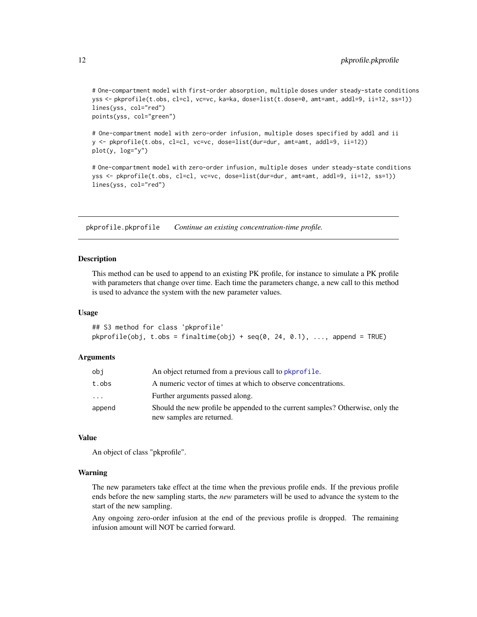```
# One-compartment model with first-order absorption, multiple doses under steady-state conditions
yss <- pkprofile(t.obs, cl=cl, vc=vc, ka=ka, dose=list(t.dose=0, amt=amt, addl=9, ii=12, ss=1))
lines(yss, col="red")
points(yss, col="green")
```
# One-compartment model with zero-order infusion, multiple doses specified by addl and ii y <- pkprofile(t.obs, cl=cl, vc=vc, dose=list(dur=dur, amt=amt, addl=9, ii=12)) plot(y, log="y")

# One-compartment model with zero-order infusion, multiple doses under steady-state conditions yss <- pkprofile(t.obs, cl=cl, vc=vc, dose=list(dur=dur, amt=amt, addl=9, ii=12, ss=1)) lines(yss, col="red")

<span id="page-11-1"></span>pkprofile.pkprofile *Continue an existing concentration-time profile.*

#### Description

This method can be used to append to an existing PK profile, for instance to simulate a PK profile with parameters that change over time. Each time the parameters change, a new call to this method is used to advance the system with the new parameter values.

#### Usage

```
## S3 method for class 'pkprofile'
pkprofile(obj, t.obs = finaltime(obj) + seq(0, 24, 0.1), ..., append = TRUE)
```
#### Arguments

| obi    | An object returned from a previous call to pkprofile.                                                       |
|--------|-------------------------------------------------------------------------------------------------------------|
| t.obs  | A numeric vector of times at which to observe concentrations.                                               |
| .      | Further arguments passed along.                                                                             |
| append | Should the new profile be appended to the current samples? Otherwise, only the<br>new samples are returned. |

#### Value

An object of class "pkprofile".

#### Warning

The new parameters take effect at the time when the previous profile ends. If the previous profile ends before the new sampling starts, the *new* parameters will be used to advance the system to the start of the new sampling.

Any ongoing zero-order infusion at the end of the previous profile is dropped. The remaining infusion amount will NOT be carried forward.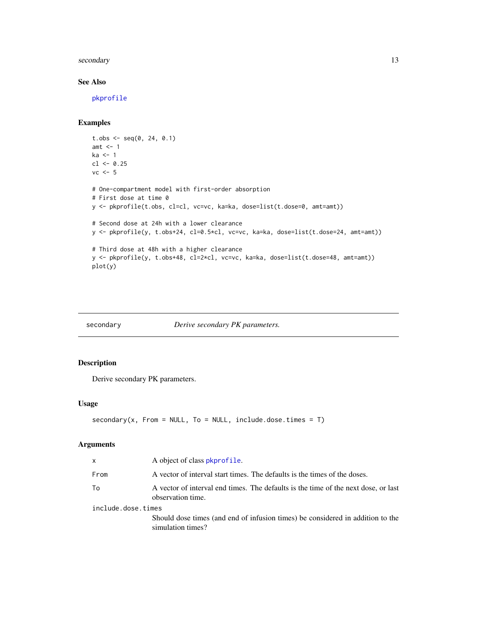#### <span id="page-12-0"></span>secondary 13

# See Also

[pkprofile](#page-7-1)

# Examples

```
t.obs \leq seq(0, 24, 0.1)
amt <-1ka < -1cl < -0.25vc < -5# One-compartment model with first-order absorption
# First dose at time 0
y <- pkprofile(t.obs, cl=cl, vc=vc, ka=ka, dose=list(t.dose=0, amt=amt))
# Second dose at 24h with a lower clearance
y <- pkprofile(y, t.obs+24, cl=0.5*cl, vc=vc, ka=ka, dose=list(t.dose=24, amt=amt))
# Third dose at 48h with a higher clearance
y <- pkprofile(y, t.obs+48, cl=2*cl, vc=vc, ka=ka, dose=list(t.dose=48, amt=amt))
plot(y)
```
<span id="page-12-1"></span>

| secondary | Derive secondary PK parameters. |
|-----------|---------------------------------|
|-----------|---------------------------------|

# Description

Derive secondary PK parameters.

### Usage

```
secondary(x, From = NULL, To = NULL, include.dose.times = T)
```
#### Arguments

| A object of class <b>p</b> kprofile.                                                                    |
|---------------------------------------------------------------------------------------------------------|
| A vector of interval start times. The defaults is the times of the doses.                               |
| A vector of interval end times. The defaults is the time of the next dose, or last<br>observation time. |
| include.dose.times                                                                                      |
| Should dose times (and end of infusion times) be considered in addition to the<br>simulation times?     |
|                                                                                                         |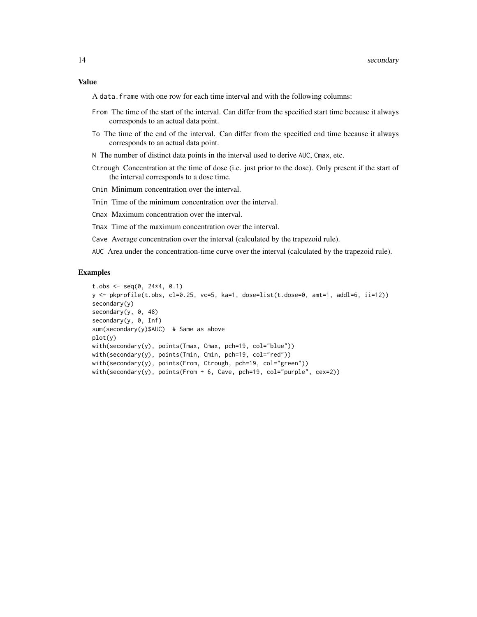#### Value

A data.frame with one row for each time interval and with the following columns:

- From The time of the start of the interval. Can differ from the specified start time because it always corresponds to an actual data point.
- To The time of the end of the interval. Can differ from the specified end time because it always corresponds to an actual data point.
- N The number of distinct data points in the interval used to derive AUC, Cmax, etc.
- Ctrough Concentration at the time of dose (i.e. just prior to the dose). Only present if the start of the interval corresponds to a dose time.
- Cmin Minimum concentration over the interval.
- Tmin Time of the minimum concentration over the interval.
- Cmax Maximum concentration over the interval.
- Tmax Time of the maximum concentration over the interval.
- Cave Average concentration over the interval (calculated by the trapezoid rule).
- AUC Area under the concentration-time curve over the interval (calculated by the trapezoid rule).

# Examples

```
t.obs <- seq(0, 24*4, 0.1)y <- pkprofile(t.obs, cl=0.25, vc=5, ka=1, dose=list(t.dose=0, amt=1, addl=6, ii=12))
secondary(y)
secondary(y, 0, 48)
secondary(y, 0, Inf)
sum(secondary(y)$AUC) # Same as above
plot(y)
with(secondary(y), points(Tmax, Cmax, pch=19, col="blue"))
with(secondary(y), points(Tmin, Cmin, pch=19, col="red"))
with(secondary(y), points(From, Ctrough, pch=19, col="green"))
with(secondary(y), points(From + 6, Cave, pch=19, col="purple", cex=2))
```